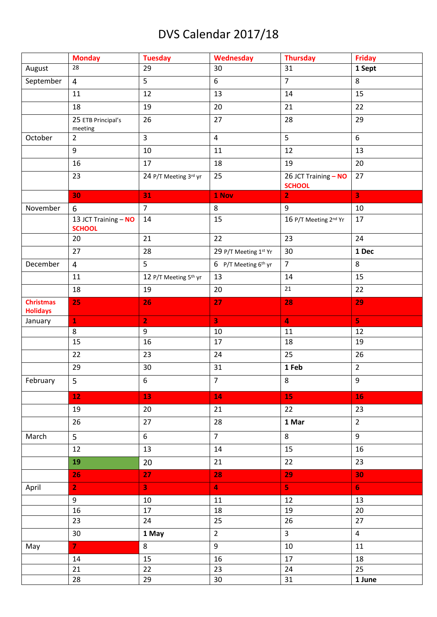## DVS Calendar 2017/18

|                                     | <b>Monday</b>                         | <b>Tuesday</b>        | Wednesday                        | <b>Thursday</b>                       | <b>Friday</b>           |
|-------------------------------------|---------------------------------------|-----------------------|----------------------------------|---------------------------------------|-------------------------|
| August                              | 28                                    | 29                    | 30                               | 31                                    | 1 Sept                  |
| September                           | $\overline{4}$                        | 5                     | 6                                | $\overline{7}$                        | 8                       |
|                                     | 11                                    | 12                    | 13                               | 14                                    | 15                      |
|                                     | 18                                    | 19                    | 20                               | 21                                    | 22                      |
|                                     | 25 ETB Principal's<br>meeting         | 26                    | 27                               | 28                                    | 29                      |
| October                             | $\overline{2}$                        | 3                     | $\overline{\mathbf{4}}$          | 5                                     | 6                       |
|                                     | 9                                     | 10                    | 11                               | 12                                    | 13                      |
|                                     | 16                                    | 17                    | 18                               | 19                                    | 20                      |
|                                     | 23                                    | 24 P/T Meeting 3rd yr | 25                               | 26 JCT Training - NO<br><b>SCHOOL</b> | 27                      |
|                                     | 30                                    | 31                    | 1 Nov                            | $\overline{2}$                        | $\overline{\mathbf{3}}$ |
| November                            | 6                                     | $\overline{7}$        | 8                                | 9                                     | 10                      |
|                                     | 13 JCT Training - NO<br><b>SCHOOL</b> | 14                    | 15                               | 16 P/T Meeting 2nd Yr                 | 17                      |
|                                     | 20                                    | 21                    | 22                               | 23                                    | 24                      |
|                                     | 27                                    | 28                    | 29 P/T Meeting 1st Yr            | 30                                    | 1 Dec                   |
| December                            | $\overline{4}$                        | 5                     | 6 P/T Meeting 6 <sup>th</sup> yr | $\overline{7}$                        | 8                       |
|                                     | 11                                    | 12 P/T Meeting 5th yr | 13                               | 14                                    | 15                      |
|                                     | 18                                    | 19                    | 20                               | 21                                    | 22                      |
| <b>Christmas</b><br><b>Holidays</b> | 25                                    | 26                    | 27                               | 28                                    | 29                      |
| January                             | $\mathbf{1}$                          | $\overline{2}$        | $\overline{\mathbf{3}}$          | $\overline{4}$                        | 5 <sup>1</sup>          |
|                                     | 8                                     | 9                     | 10                               | 11                                    | 12                      |
|                                     | 15                                    | 16                    | 17                               | 18                                    | 19                      |
|                                     | 22                                    | 23                    | 24                               | 25                                    | 26                      |
|                                     | 29                                    | 30                    | 31                               | 1 Feb                                 | $\overline{2}$          |
| February                            | $\overline{5}$                        | $\boldsymbol{6}$      | $\overline{7}$                   | $\,8\,$                               | 9                       |
|                                     | 12                                    | 13                    | 14                               | 15                                    | 16                      |
|                                     | 19                                    | 20                    | 21                               | 22                                    | 23                      |
|                                     | 26                                    | 27                    | 28                               | 1 Mar                                 | $\overline{2}$          |
| March                               | 5 <sub>1</sub>                        | 6                     | $\overline{7}$                   | 8                                     | $\overline{9}$          |
|                                     | 12                                    | 13                    | 14                               | 15                                    | 16                      |
|                                     | 19                                    | 20                    | 21                               | 22                                    | 23                      |
|                                     | 26                                    | 27                    | 28                               | 29                                    | 30                      |
| April                               | 2 <sub>1</sub>                        | 3 <sup>°</sup>        | $\overline{\mathbf{4}}$          | 5 <sub>1</sub>                        | 6 <sub>1</sub>          |
|                                     | 9                                     | $10\,$                | 11                               | 12                                    | 13                      |
|                                     | 16                                    | 17                    | 18                               | 19                                    | 20                      |
|                                     | 23                                    | 24                    | 25                               | 26                                    | 27                      |
|                                     | 30                                    | 1 May                 | $\overline{2}$                   | $\overline{3}$                        | $\overline{4}$          |
| May                                 | $\mathbf{7}$                          | 8                     | 9                                | 10                                    | 11                      |
|                                     | 14                                    | 15                    | 16                               | $17\,$                                | 18                      |
|                                     | 21                                    | 22                    | 23                               | 24                                    | 25                      |
|                                     | 28                                    | 29                    | 30                               | 31                                    | 1 June                  |